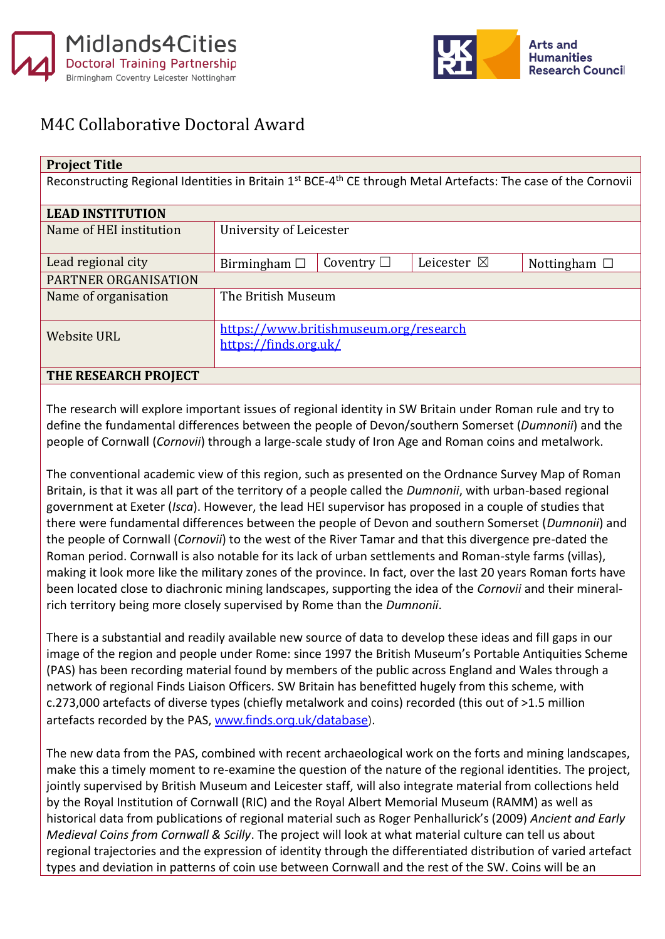



## M4C Collaborative Doctoral Award

| <b>Project Title</b>                                                                                                                   |                                        |                 |                       |                   |  |
|----------------------------------------------------------------------------------------------------------------------------------------|----------------------------------------|-----------------|-----------------------|-------------------|--|
| Reconstructing Regional Identities in Britain 1 <sup>st</sup> BCE-4 <sup>th</sup> CE through Metal Artefacts: The case of the Cornovii |                                        |                 |                       |                   |  |
|                                                                                                                                        |                                        |                 |                       |                   |  |
| <b>LEAD INSTITUTION</b>                                                                                                                |                                        |                 |                       |                   |  |
| Name of HEI institution                                                                                                                | University of Leicester                |                 |                       |                   |  |
|                                                                                                                                        |                                        |                 |                       |                   |  |
| Lead regional city                                                                                                                     | Birmingham $\Box$                      | Coventry $\Box$ | Leicester $\boxtimes$ | Nottingham $\Box$ |  |
| PARTNER ORGANISATION                                                                                                                   |                                        |                 |                       |                   |  |
| Name of organisation                                                                                                                   | The British Museum                     |                 |                       |                   |  |
|                                                                                                                                        |                                        |                 |                       |                   |  |
| <b>Website URL</b>                                                                                                                     | https://www.britishmuseum.org/research |                 |                       |                   |  |
|                                                                                                                                        | https://finds.org.uk/                  |                 |                       |                   |  |
|                                                                                                                                        |                                        |                 |                       |                   |  |
| THE RESEARCH PROJECT                                                                                                                   |                                        |                 |                       |                   |  |

The research will explore important issues of regional identity in SW Britain under Roman rule and try to define the fundamental differences between the people of Devon/southern Somerset (*Dumnonii*) and the people of Cornwall (*Cornovii*) through a large-scale study of Iron Age and Roman coins and metalwork.

The conventional academic view of this region, such as presented on the Ordnance Survey Map of Roman Britain, is that it was all part of the territory of a people called the *Dumnonii*, with urban-based regional government at Exeter (*Isca*). However, the lead HEI supervisor has proposed in a couple of studies that there were fundamental differences between the people of Devon and southern Somerset (*Dumnonii*) and the people of Cornwall (*Cornovii*) to the west of the River Tamar and that this divergence pre-dated the Roman period. Cornwall is also notable for its lack of urban settlements and Roman-style farms (villas), making it look more like the military zones of the province. In fact, over the last 20 years Roman forts have been located close to diachronic mining landscapes, supporting the idea of the *Cornovii* and their mineralrich territory being more closely supervised by Rome than the *Dumnonii*.

There is a substantial and readily available new source of data to develop these ideas and fill gaps in our image of the region and people under Rome: since 1997 the British Museum's Portable Antiquities Scheme (PAS) has been recording material found by members of the public across England and Wales through a network of regional Finds Liaison Officers. SW Britain has benefitted hugely from this scheme, with c.273,000 artefacts of diverse types (chiefly metalwork and coins) recorded (this out of >1.5 million artefacts recorded by the PAS, [www.finds.org.uk/database\)](http://www.finds.org.uk/database).

The new data from the PAS, combined with recent archaeological work on the forts and mining landscapes, make this a timely moment to re-examine the question of the nature of the regional identities. The project, jointly supervised by British Museum and Leicester staff, will also integrate material from collections held by the Royal Institution of Cornwall (RIC) and the Royal Albert Memorial Museum (RAMM) as well as historical data from publications of regional material such as Roger Penhallurick's (2009) *Ancient and Early Medieval Coins from Cornwall & Scilly*. The project will look at what material culture can tell us about regional trajectories and the expression of identity through the differentiated distribution of varied artefact types and deviation in patterns of coin use between Cornwall and the rest of the SW. Coins will be an